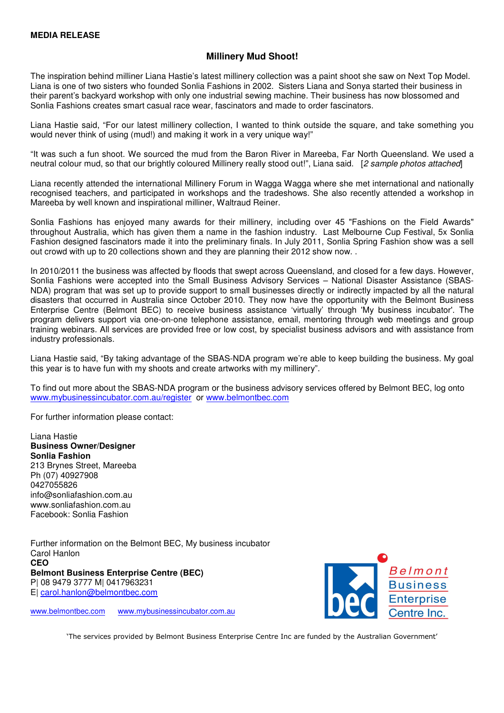## **Millinery Mud Shoot!**

The inspiration behind milliner Liana Hastie's latest millinery collection was a paint shoot she saw on Next Top Model. Liana is one of two sisters who founded Sonlia Fashions in 2002. Sisters Liana and Sonya started their business in their parent's backyard workshop with only one industrial sewing machine. Their business has now blossomed and Sonlia Fashions creates smart casual race wear, fascinators and made to order fascinators.

Liana Hastie said, "For our latest millinery collection, I wanted to think outside the square, and take something you would never think of using (mud!) and making it work in a very unique way!"

"It was such a fun shoot. We sourced the mud from the Baron River in Mareeba, Far North Queensland. We used a neutral colour mud, so that our brightly coloured Millinery really stood out!", Liana said. [2 sample photos attached]

Liana recently attended the international Millinery Forum in Wagga Wagga where she met international and nationally recognised teachers, and participated in workshops and the tradeshows. She also recently attended a workshop in Mareeba by well known and inspirational milliner, Waltraud Reiner.

Sonlia Fashions has enjoyed many awards for their millinery, including over 45 "Fashions on the Field Awards" throughout Australia, which has given them a name in the fashion industry. Last Melbourne Cup Festival, 5x Sonlia Fashion designed fascinators made it into the preliminary finals. In July 2011, Sonlia Spring Fashion show was a sell out crowd with up to 20 collections shown and they are planning their 2012 show now.

In 2010/2011 the business was affected by floods that swept across Queensland, and closed for a few days. However, Sonlia Fashions were accepted into the Small Business Advisory Services – National Disaster Assistance (SBAS-NDA) program that was set up to provide support to small businesses directly or indirectly impacted by all the natural disasters that occurred in Australia since October 2010. They now have the opportunity with the Belmont Business Enterprise Centre (Belmont BEC) to receive business assistance 'virtually' through 'My business incubator'. The program delivers support via one-on-one telephone assistance, email, mentoring through web meetings and group training webinars. All services are provided free or low cost, by specialist business advisors and with assistance from industry professionals.

Liana Hastie said, "By taking advantage of the SBAS-NDA program we're able to keep building the business. My goal this year is to have fun with my shoots and create artworks with my millinery".

To find out more about the SBAS-NDA program or the business advisory services offered by Belmont BEC, log onto www.mybusinessincubator.com.au/register or www.belmontbec.com

For further information please contact:

Liana Hastie **Business Owner/Designer Sonlia Fashion**  213 Brynes Street, Mareeba Ph (07) 40927908 0427055826 info@sonliafashion.com.au www.sonliafashion.com.au Facebook: Sonlia Fashion

Further information on the Belmont BEC, My business incubator Carol Hanlon **CEO Belmont Business Enterprise Centre (BEC)**  P| 08 9479 3777 M| 0417963231 E| carol.hanlon@belmontbec.com

www.belmontbec.com www.mybusinessincubator.com.au



'The services provided by Belmont Business Enterprise Centre Inc are funded by the Australian Government'